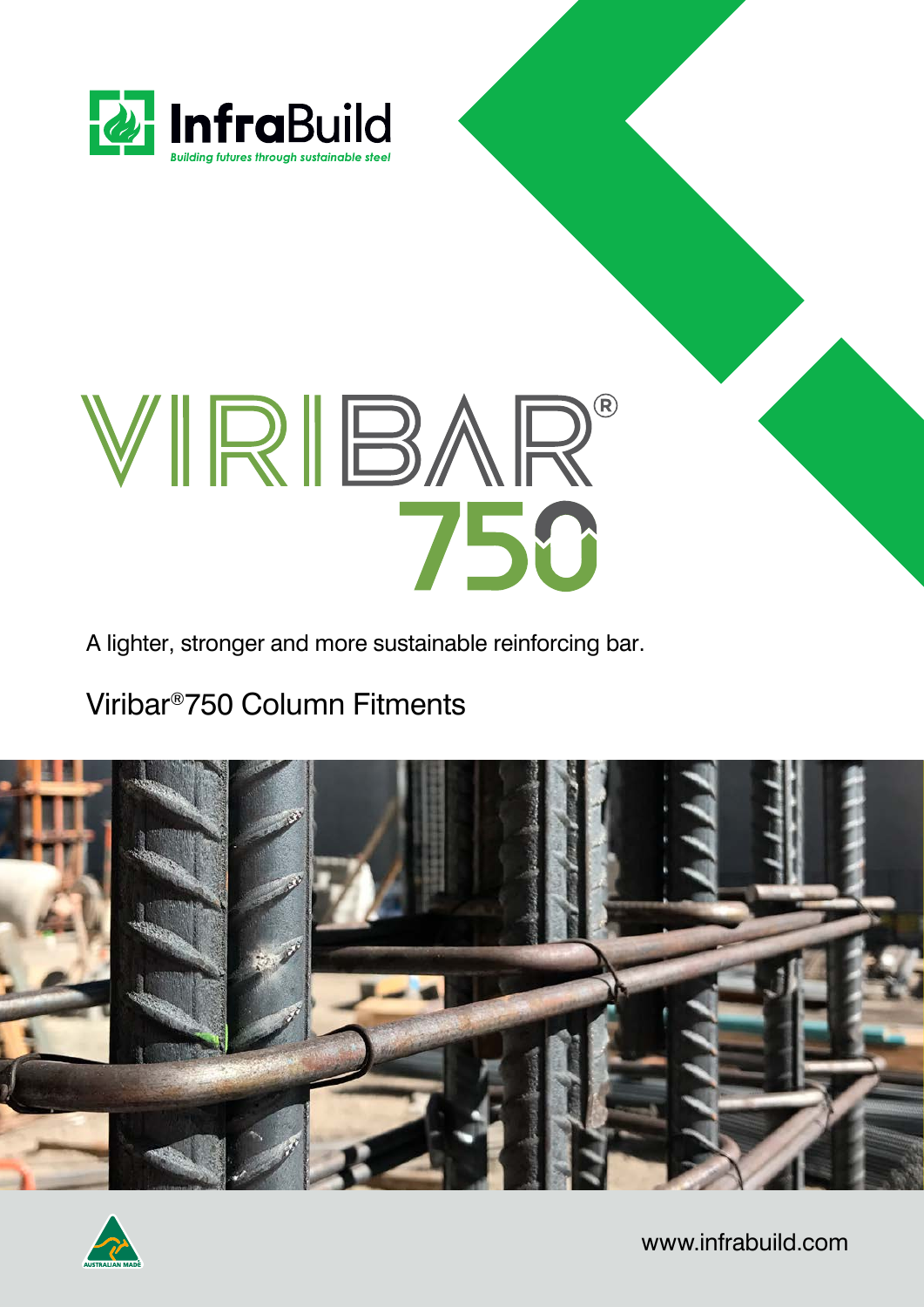

# WIRIBAR®

A lighter, stronger and more sustainable reinforcing bar.

### Viribar®750 Column Fitments





www.infrabuild.com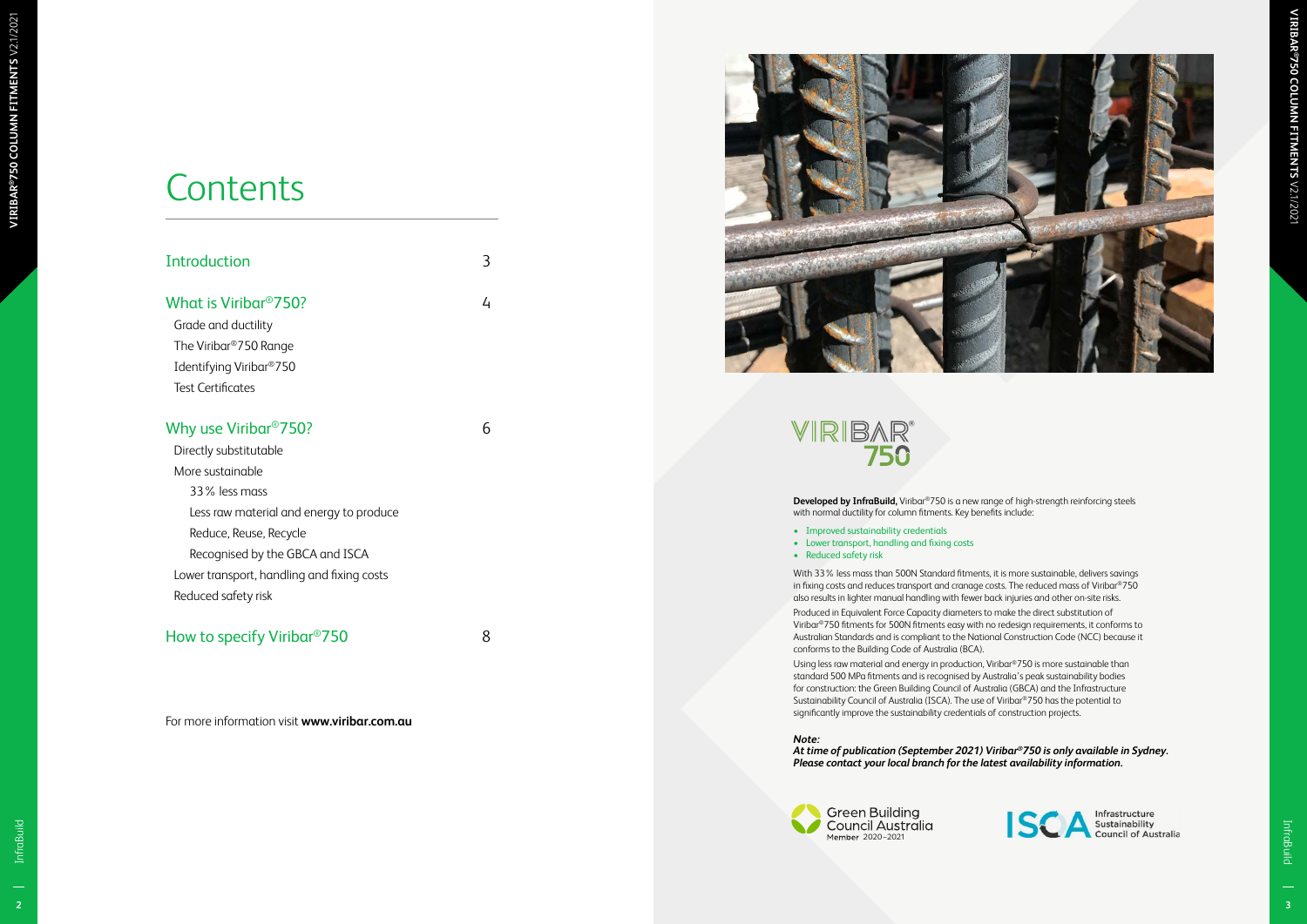InfraBuild InfraBuild



3

 $\overline{4}$ 

## **Contents**

| Introduction                               |  |
|--------------------------------------------|--|
| What is Viribar <sup>®</sup> 750?          |  |
| Grade and ductility                        |  |
| The Viribar®750 Range                      |  |
| Identifying Viribar <sup>®</sup> 750       |  |
| Test Certificates                          |  |
| Why use Viribar <sup>®</sup> 750?          |  |
| Directly substitutable                     |  |
| More sustainable                           |  |
| 33% less mass                              |  |
| Less raw material and energy to produce    |  |
| Reduce, Reuse, Recycle                     |  |
| Recognised by the GBCA and ISCA            |  |
| Lower transport, handling and fixing costs |  |
| Reduced safety risk                        |  |

6

- Improved sustainability credentials
- Lower transport, handling and fixing costs
- Reduced safety risk

#### How to specify Viribar ®750

8

For more information visit **www.viribar.com.au**



## **VIRIBAR®**<br>750



**Developed by InfraBuild,** Viribar ®750 is a new range of high-strength reinforcing steels with normal ductility for column fitments. Key benefits include:

With 33% less mass than 500N Standard fitments, it is more sustainable, delivers savings in fixing costs and reduces transport and cranage costs. The reduced mass of Viribar ®750 also results in lighter manual handling with fewer back injuries and other on-site risks. Produced in Equivalent Force Capacity diameters to make the direct substitution of Viribar ®750 fitments for 500N fitments easy with no redesign requirements, it conforms to Australian Standards and is compliant to the National Construction Code (NCC) because it conforms to the Building Code of Australia (BCA).

Using less raw material and energy in production, Viribar ®750 is more sustainable than standard 500 MPa fitments and is recognised by Australia's peak sustainability bodies for construction: the Green Building Council of Australia (GBCA) and the Infrastructure Sustainability Council of Australia (ISCA). The use of Viribar ®750 has the potential to significantly improve the sustainability credentials of construction projects.

#### *Note:*

*At time of publication (September 2021) Viribar®750 is only available in Sydney. Please contact your local branch for the latest availability information.*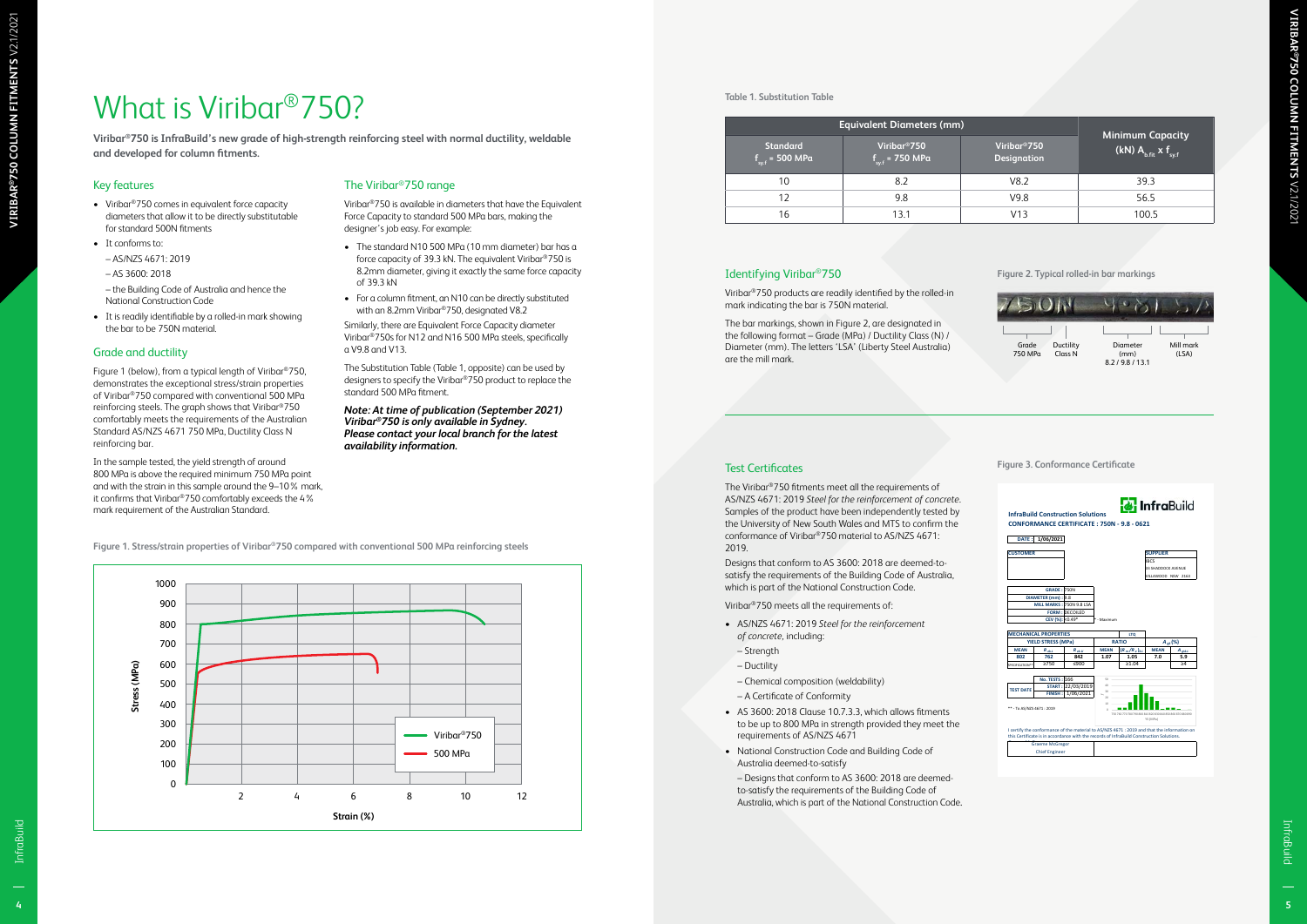**4**



- Viribar®750 comes in equivalent force capacity diameters that allow it to be directly substitutable for standard 500N fitments
- It conforms to:
- AS/NZS 4671: 2019
- AS 3600: 2018

#### Key features

– the Building Code of Australia and hence the National Construction Code

• It is readily identifiable by a rolled-in mark showing the bar to be 750N material.

#### Grade and ductility

Figure 1 (below), from a typical length of Viribar ®750, demonstrates the exceptional stress/strain properties of Viribar ®750 compared with conventional 500 MPa reinforcing steels. The graph shows that Viribar ®750 comfortably meets the requirements of the Australian Standard AS/NZS 4671 750 MPa, Ductility Class N reinforcing bar.

In the sample tested, the yield strength of around 800 MPa is above the required minimum 750 MPa point and with the strain in this sample around the 9–10% mark, it confirms that Viribar ®750 comfortably exceeds the 4% mark requirement of the Australian Standard.

#### The Viribar ®750 range

Viribar ®750 is available in diameters that have the Equivalent Force Capacity to standard 500 MPa bars, making the designer's job easy. For example:

- The standard N10 500 MPa (10 mm diameter) bar has a force capacity of 39.3 kN. The equivalent Viribar ®750 is 8.2mm diameter, giving it exactly the same force capacity of 39.3 kN
- For a column fitment, an N10 can be directly substituted with an 8.2mm Viribar ®750, designated V8.2

Similarly, there are Equivalent Force Capacity diameter Viribar ®750s for N12 and N16 500 MPa steels, specifically a V9.8 and V13.

The Substitution Table (Table 1, opposite) can be used by designers to specify the Viribar ®750 product to replace the standard 500 MPa fitment.

*Note: At time of publication (September 2021) Viribar®750 is only available in Sydney. Please contact your local branch for the latest availability information.*

#### Identifying Viribar ®750

Viribar ®750 products are readily identified by the rolled-in mark indicating the bar is 750N material.

The bar markings, shown in Figure 2, are designated in the following format – Grade (MPa) / Ductility Class (N) / Diameter (mm). The letters 'LSA' (Liberty Steel Australia) are the mill mark.

#### Test Certificates

The Viribar ®750 fitments meet all the requirements of AS/NZS 4671: 2019 *Steel for the reinforcement of concrete*. Samples of the product have been independently tested by the University of New South Wales and MTS to confirm the conformance of Viribar ®750 material to AS/NZS 4671: 2019.

Designs that conform to AS 3600: 2018 are deemed-tosatisfy the requirements of the Building Code of Australia, which is part of the National Construction Code.

Viribar ®750 meets all the requirements of:

- AS/NZS 4671: 2019 *Steel for the reinforcement of concrete,* including:
- Strength
- Ductility
- Chemical composition (weldability)
- A Certificate of Conformity
- AS 3600: 2018 Clause 10.7.3.3, which allows fitments to be up to 800 MPa in strength provided they meet the requirements of AS/NZS 4671
- National Construction Code and Building Code of Australia deemed-to-satisfy – Designs that conform to AS 3600: 2018 are deemedto-satisfy the requirements of the Building Code of

Australia, which is part of the National Construction Code .

**Figure 1. Stress/strain properties of Viribar ®750 compared with conventional 500 MPa reinforcing steels**

#### **Table 1. Substitution Table**

**Figure 2. Typical rolled-in bar markings**

**Figure 3. Conformance Certificate**

|                                                | <b>Equivalent Diameters (mm)</b>                       |                                                |                                                                           |
|------------------------------------------------|--------------------------------------------------------|------------------------------------------------|---------------------------------------------------------------------------|
| <b>Standard</b><br>$f_{\text{sy.f}}$ = 500 MPa | Viribar <sup>®</sup> 750<br>$f_{\text{svf}}$ = 750 MPa | Viribar <sup>®</sup> 750<br><b>Designation</b> | <b>Minimum Capacity</b><br>(kN) $A_{\text{b-fit}} \times f_{\text{sv.f}}$ |
| 10                                             | 8.2                                                    | V8.2                                           | 39.3                                                                      |
| 12                                             | 9.8                                                    | V9.8                                           | 56.5                                                                      |
| 16                                             | 13.1                                                   | V13                                            | 100.5                                                                     |



|                           | 1/06/2021<br><b>DATE:</b>    |                          |                      |                                                             |                    |                                    |
|---------------------------|------------------------------|--------------------------|----------------------|-------------------------------------------------------------|--------------------|------------------------------------|
| <b>CUSTOMER</b>           |                              |                          |                      |                                                             | <b>SUPPLIER</b>    |                                    |
|                           |                              |                          |                      |                                                             | <b>IBCS</b>        |                                    |
|                           |                              |                          |                      |                                                             | 33 SHADDOCK AVENUE |                                    |
|                           |                              |                          |                      |                                                             | VILLAWOOD NSW 2163 |                                    |
|                           |                              |                          |                      |                                                             |                    |                                    |
|                           | <b>GRADE: 750N</b>           |                          |                      |                                                             |                    |                                    |
|                           | DIAMETER (mm): 9.8           |                          |                      |                                                             |                    |                                    |
|                           |                              | MILL MARKS: 750N 9.8 LSA |                      |                                                             |                    |                                    |
|                           |                              | <b>FORM: DECOILED</b>    |                      |                                                             |                    |                                    |
|                           |                              |                          |                      |                                                             |                    |                                    |
|                           |                              | CEV (%): < 0.49*         | * - Maximum          |                                                             |                    |                                    |
|                           | <b>MECHANICAL PROPERTIES</b> |                          |                      |                                                             |                    |                                    |
|                           | <b>YIELD STRESS (MPa)</b>    |                          |                      | <b>LTO</b><br><b>RATIO</b>                                  |                    |                                    |
| <b>MEAN</b>               | $R_{\text{old}}$             | $R_{ck,U}$               | <b>MEAN</b>          | $(R_m/R_c)_{k,l}$                                           | <b>MEAN</b>        | $A_{gt}$ (%)<br>$A_{\text{stk.L}}$ |
| 802                       | 762                          | 842                      | 1.07                 | 1.05                                                        | 7.0                | 5.9                                |
| SPECIFICATION*            | >750                         | < 900                    |                      | >1.04                                                       |                    | >4                                 |
|                           |                              |                          |                      |                                                             |                    |                                    |
|                           | No. TESTS: 166               |                          | sn                   |                                                             |                    |                                    |
|                           |                              | START: 22/03/2019        | 40                   |                                                             |                    |                                    |
| <b>TEST DATE</b>          | <b>FINISH:</b>               | 1/06/2021                | 30<br>$\mathfrak{m}$ |                                                             |                    |                                    |
|                           |                              |                          | 10                   |                                                             |                    |                                    |
| ** - To AS/NZS 4671: 2019 |                              |                          | ò                    | 750 760 770 780 790 800 810 820 830 840 850 860 870 880 890 |                    |                                    |

## What is Viribar ®750?

**Viribar ®750 is InfraBuild's new grade of high-strength reinforcing steel with normal ductility, weldable and developed for column fitments.**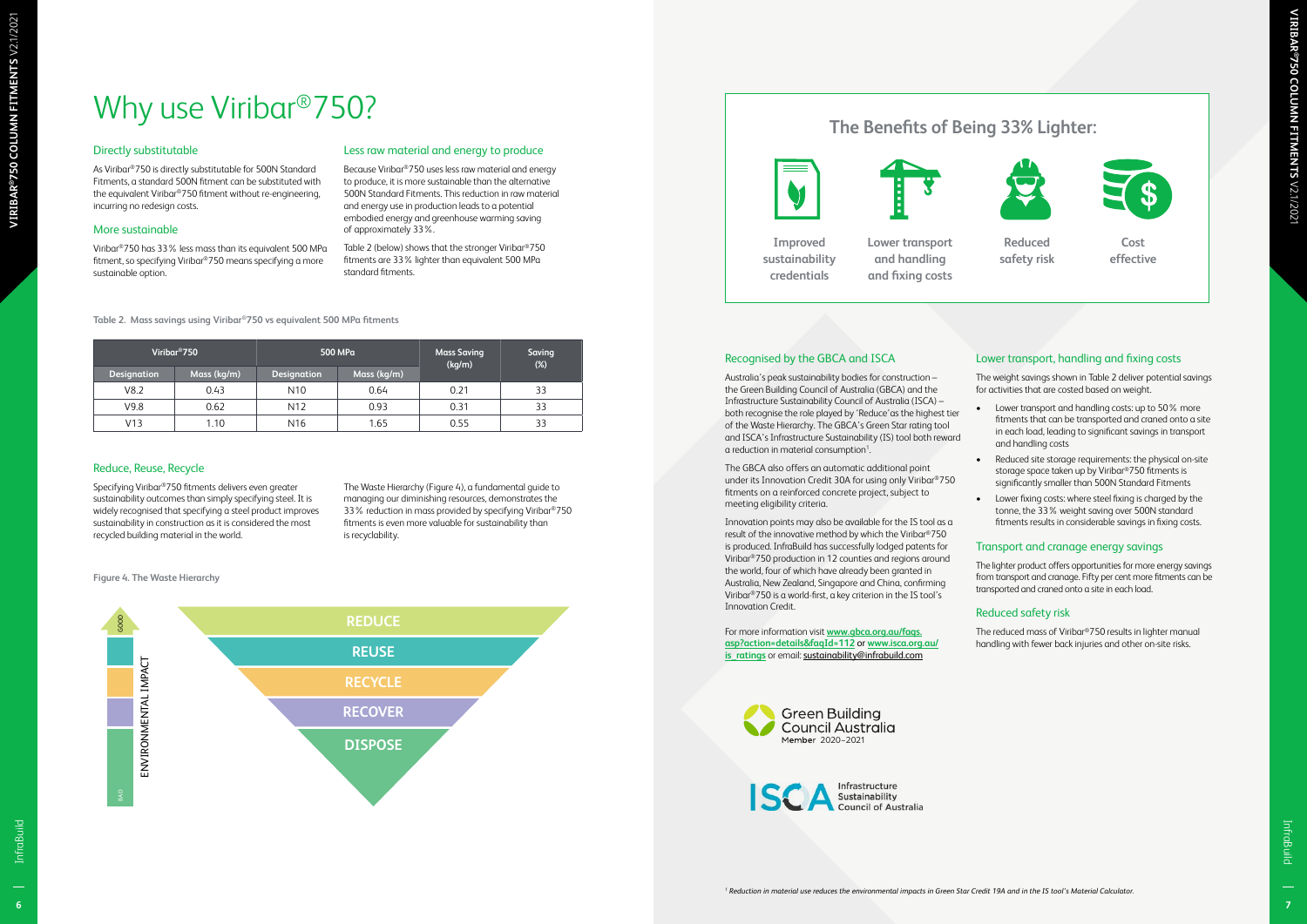**®750 COLUMN FITMENTS** V2.1/2021

## Why use Viribar<sup>®</sup>750?

#### Directly substitutable

As Viribar®750 is directly substitutable for 500N Standard Fitments, a standard 500N fitment can be substituted with the equivalent Viribar®750 fitment without re-engineering, incurring no redesign costs.

#### More sustainable

Viribar®750 has 33% less mass than its equivalent 500 MPa fitment, so specifying Viribar®750 means specifying a more sustainable option.

#### Less raw material and energy to produce

Because Viribar®750 uses less raw material and energy to produce, it is more sustainable than the alternative 500N Standard Fitments. This reduction in raw material and energy use in production leads to a potential embodied energy and greenhouse warming saving of approximately 33%.

Table 2 (below) shows that the stronger Viribar®750 fitments are 33% lighter than equivalent 500 MPa standard fitments.

#### **Table 2. Mass savings using Viribar®750 vs equivalent 500 MPa fitments**

**Figure 4. The Waste Hierarchy**

|             | Viribar <sup>®</sup> 750<br>500 MPa |                    |             | <b>Mass Saving</b><br>(kg/m) | <b>Saving</b><br>$(\%)$ |
|-------------|-------------------------------------|--------------------|-------------|------------------------------|-------------------------|
| Designation | Mass (kg/m)                         | <b>Designation</b> | Mass (kg/m) |                              |                         |
| V8.2        | 0.43                                | N <sub>10</sub>    | 0.64        | 0.21                         | 33                      |
| V9.8        | 0.62                                | N <sub>12</sub>    | 0.93        | 0.31                         | 33                      |
| V13         | 1.10                                | N <sub>16</sub>    | 1.65        | 0.55                         | 33                      |

#### Reduce, Reuse, Recycle

For more information visit **[www.gbca.org.au/faqs.](https://www.gbca.org.au/faqs.asp?action=details&faqId=112) [asp?action=details&faqId=112](https://www.gbca.org.au/faqs.asp?action=details&faqId=112)** or **[www.isca.org.au/](https://www.isca.org.au/is_ratings) is ratings** or email: [sustainability@infrabuild.com](mailto:sustainability%40infrabuild.com?subject=)

Specifying Viribar®750 fitments delivers even greater sustainability outcomes than simply specifying steel. It is widely recognised that specifying a steel product improves sustainability in construction as it is considered the most recycled building material in the world.

The Waste Hierarchy (Figure 4), a fundamental guide to managing our diminishing resources, demonstrates the 33% reduction in mass provided by specifying Viribar®750 fitments is even more valuable for sustainability than is recyclability.

#### Recognised by the GBCA and ISCA

Australia's peak sustainability bodies for construction – the Green Building Council of Australia (GBCA) and the Infrastructure Sustainability Council of Australia (ISCA) – both recognise the role played by 'Reduce'as the highest tier of the Waste Hierarchy. The GBCA's Green Star rating tool and ISCA's Infrastructure Sustainability (IS) tool both reward a reduction in material consumption<sup>1</sup>. .



The GBCA also offers an automatic additional point under its Innovation Credit 30A for using only Viribar®750 fitments on a reinforced concrete project, subject to meeting eligibility criteria.

Innovation points may also be available for the IS tool as a result of the innovative method by which the Viribar®750 is produced. InfraBuild has successfully lodged patents for Viribar®750 production in 12 counties and regions around the world, four of which have already been granted in Australia, New Zealand, Singapore and China, confirming Viribar®750 is a world-first, a key criterion in the IS tool's Innovation Credit.

#### Lower transport, handling and fixing costs

The weight savings shown in Table 2 deliver potential savings for activities that are costed based on weight.

- Lower transport and handling costs: up to 50% more fitments that can be transported and craned onto a site in each load, leading to significant savings in transport and handling costs
- Reduced site storage requirements: the physical on-site storage space taken up by Viribar®750 fitments is significantly smaller than 500N Standard Fitments
- Lower fixing costs: where steel fixing is charged by the tonne, the 33% weight saving over 500N standard fitments results in considerable savings in fixing costs.

#### Transport and cranage energy savings

The lighter product offers opportunities for more energy savings from transport and cranage. Fifty per cent more fitments can be transported and craned onto a site in each load.

#### Reduced safety risk

The reduced mass of Viribar®750 results in lighter manual handling with fewer back injuries and other on-site risks.

**Improved sustainability credentials**

#### **The Benefits of Being 33% Lighter:**











**Cost effective**

**Lower transport and handling and fixing costs**



**Reduced safety risk**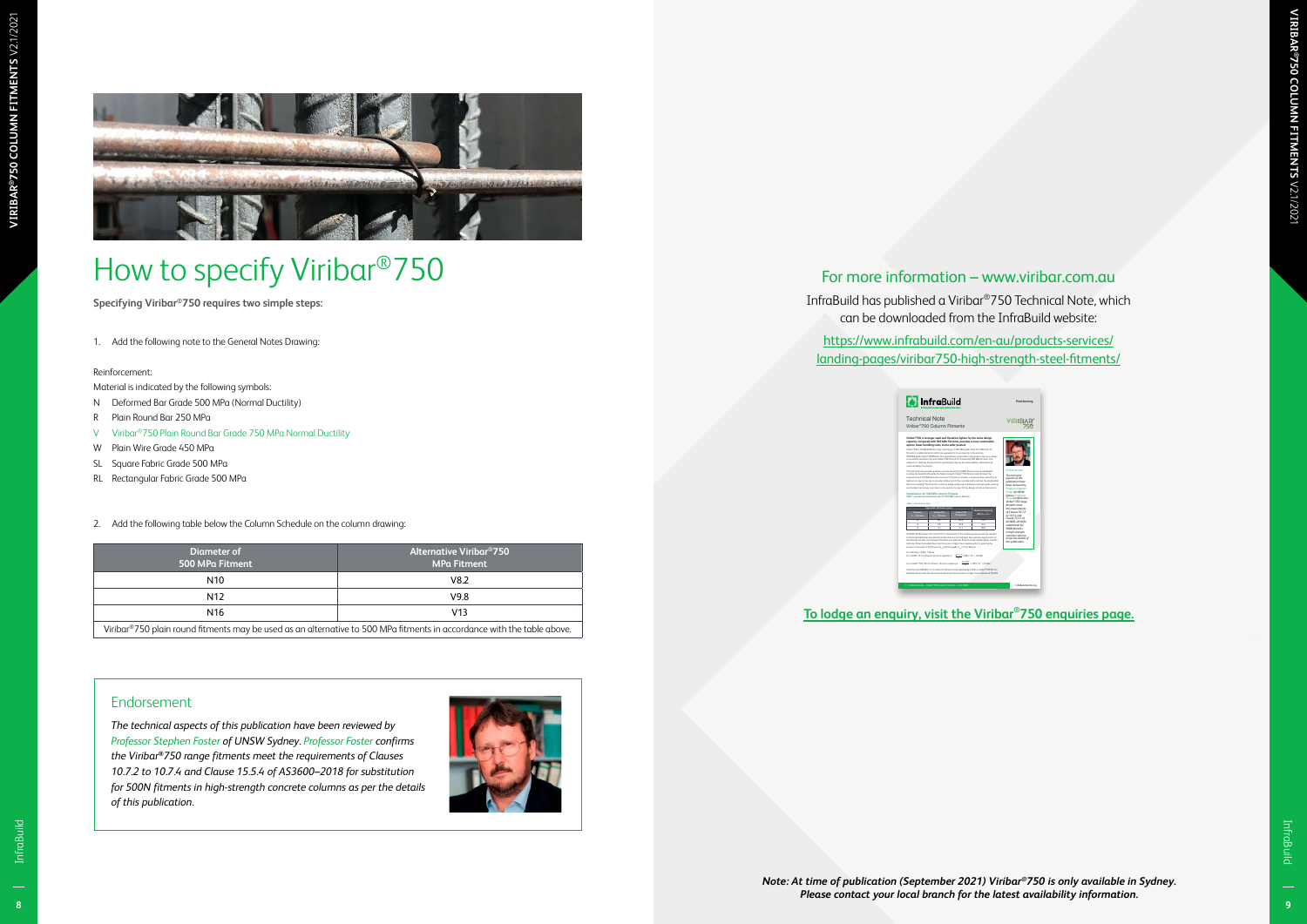

#### For more information – www.viribar.com.au

#### Reinforcement:

| How to specify Viribar <sup>®</sup> 750                                                                                               |                                                                 | For more information - www.viribar.com.au                                                                                               |
|---------------------------------------------------------------------------------------------------------------------------------------|-----------------------------------------------------------------|-----------------------------------------------------------------------------------------------------------------------------------------|
| Specifying Viribar®750 requires two simple steps:                                                                                     |                                                                 | InfraBuild has published a Viribar®750 Technical Note, which<br>can be downloaded from the InfraBuild website:                          |
| 1. Add the following note to the General Notes Drawing:                                                                               |                                                                 | https://www.infrabuild.com/en-au/products-services/<br>landing-pages/viribar750-high-strength-steel-fitments/                           |
| Reinforcement:                                                                                                                        |                                                                 |                                                                                                                                         |
| Material is indicated by the following symbols:                                                                                       |                                                                 |                                                                                                                                         |
| Deformed Bar Grade 500 MPa (Normal Ductility)<br>N.                                                                                   |                                                                 | <b>M</b> InfraBuild<br>Reinforcing                                                                                                      |
| Plain Round Bar 250 MPa                                                                                                               |                                                                 | <b>Technical Note</b><br><b>VIRIBAR</b><br>750<br>Viribar <sup>®</sup> 750 Column Fitments                                              |
| Viribar <sup>®</sup> 750 Plain Round Bar Grade 750 MPa Normal Ductility                                                               |                                                                 | iribar®750, a stronger steel and therefore lighter for the same desi<br>spacity compared with 500 MPa fitments, provides a more sustain |
| W Plain Wire Grade 450 MPa                                                                                                            |                                                                 | Lg.<br>andling costs, and a safer prod                                                                                                  |
| SL Square Fabric Grade 500 MPa                                                                                                        |                                                                 |                                                                                                                                         |
| RL Rectangular Fabric Grade 500 MPa                                                                                                   |                                                                 |                                                                                                                                         |
|                                                                                                                                       |                                                                 |                                                                                                                                         |
| <b>Diameter of</b><br>500 MPa Fitment                                                                                                 | <b>Alternative Viribar<sup>®</sup>750</b><br><b>MPa Fitment</b> | s per the details o<br>his publication.                                                                                                 |
| N10                                                                                                                                   | V8.2                                                            |                                                                                                                                         |
| N12                                                                                                                                   | V9.8                                                            |                                                                                                                                         |
|                                                                                                                                       | V13                                                             | To lodge an enquiry, visit the Viribar <sup>®</sup> 750 enquiries page.                                                                 |
| N <sub>16</sub>                                                                                                                       |                                                                 |                                                                                                                                         |
| Viribar®750 plain round fitments may be used as an alternative to 500 MPa fitments in accordance with the table above.                |                                                                 |                                                                                                                                         |
|                                                                                                                                       |                                                                 |                                                                                                                                         |
| Endorsement                                                                                                                           |                                                                 |                                                                                                                                         |
|                                                                                                                                       |                                                                 |                                                                                                                                         |
| The technical aspects of this publication have been reviewed by<br>Professor Stephen Foster of UNSW Sydney. Professor Foster confirms |                                                                 |                                                                                                                                         |
|                                                                                                                                       |                                                                 |                                                                                                                                         |
| the Viribar®750 range fitments meet the requirements of Clauses<br>10.7.2 to 10.7.4 and Clause 15.5.4 of AS3600-2018 for substitution |                                                                 |                                                                                                                                         |
| for 500N fitments in high-strength concrete columns as per the details                                                                |                                                                 |                                                                                                                                         |
| of this publication.                                                                                                                  |                                                                 |                                                                                                                                         |
|                                                                                                                                       |                                                                 |                                                                                                                                         |
|                                                                                                                                       |                                                                 |                                                                                                                                         |

- N Deformed Bar Grade 500 MPa (Normal Ductility)
- R Plain Round Bar 250 MPa
- V Viribar®750 Plain Round Bar Grade 750 MPa Normal Ductility
- W Plain Wire Grade 450 MPa
- SL Square Fabric Grade 500 MPa
- RL Rectangular Fabric Grade 500 MPa
- 2. Add the following table below the Column Schedule on the column drawing:

#### Endorsement





## How to specify Viribar®750

#### **[To lodge an enquiry, visit the Viribar®750 enquiries page.](http://www.infrabuild.com/en-au/resource-centre/forms/viribar-enquiries/)**